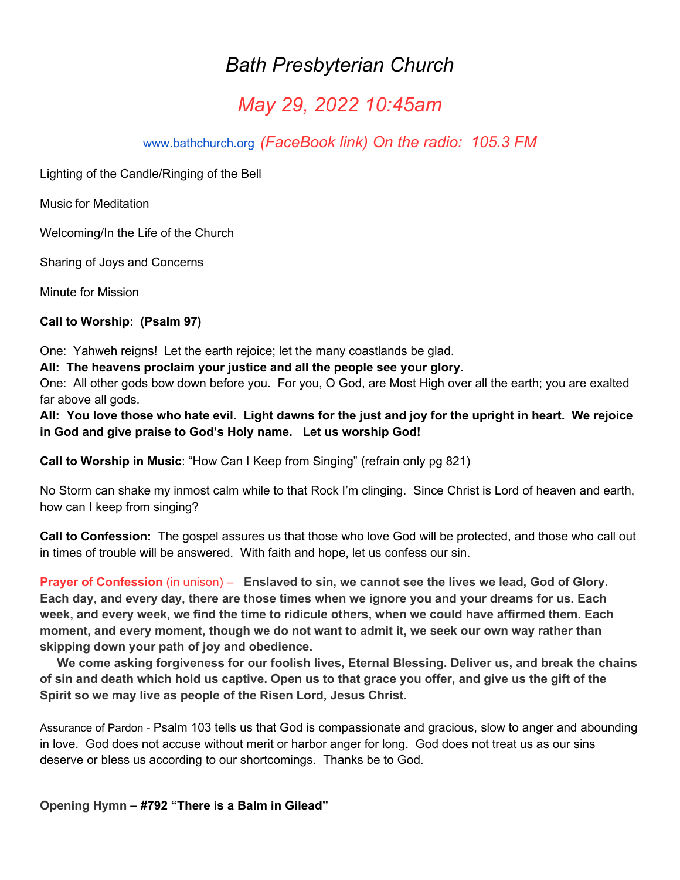## *Bath Presbyterian Church*

# *May 29, 2022 10:45am*

[www.bathchurch.org](http://www.bathchurch.org/) *(FaceBook link) On the radio: 105.3 FM*

Lighting of the Candle/Ringing of the Bell

Music for Meditation

Welcoming/In the Life of the Church

Sharing of Joys and Concerns

Minute for Mission

**Call to Worship: (Psalm 97)**

One: Yahweh reigns! Let the earth rejoice; let the many coastlands be glad.

**All: The heavens proclaim your justice and all the people see your glory.**

One: All other gods bow down before you. For you, O God, are Most High over all the earth; you are exalted far above all gods.

**All: You love those who hate evil. Light dawns for the just and joy for the upright in heart. We rejoice in God and give praise to God's Holy name. Let us worship God!**

**Call to Worship in Music**: "How Can I Keep from Singing" (refrain only pg 821)

No Storm can shake my inmost calm while to that Rock I'm clinging. Since Christ is Lord of heaven and earth, how can I keep from singing?

**Call to Confession:** The gospel assures us that those who love God will be protected, and those who call out in times of trouble will be answered. With faith and hope, let us confess our sin.

**Prayer of Confession** (in unison) – **Enslaved to sin, we cannot see the lives we lead, God of Glory. Each day, and every day, there are those times when we ignore you and your dreams for us. Each week, and every week, we find the time to ridicule others, when we could have affirmed them. Each moment, and every moment, though we do not want to admit it, we seek our own way rather than skipping down your path of joy and obedience.**

 **We come asking forgiveness for our foolish lives, Eternal Blessing. Deliver us, and break the chains of sin and death which hold us captive. Open us to that grace you offer, and give us the gift of the Spirit so we may live as people of the Risen Lord, Jesus Christ.**

Assurance of Pardon - Psalm 103 tells us that God is compassionate and gracious, slow to anger and abounding in love. God does not accuse without merit or harbor anger for long. God does not treat us as our sins deserve or bless us according to our shortcomings. Thanks be to God.

**Opening Hymn – #792 "There is a Balm in Gilead"**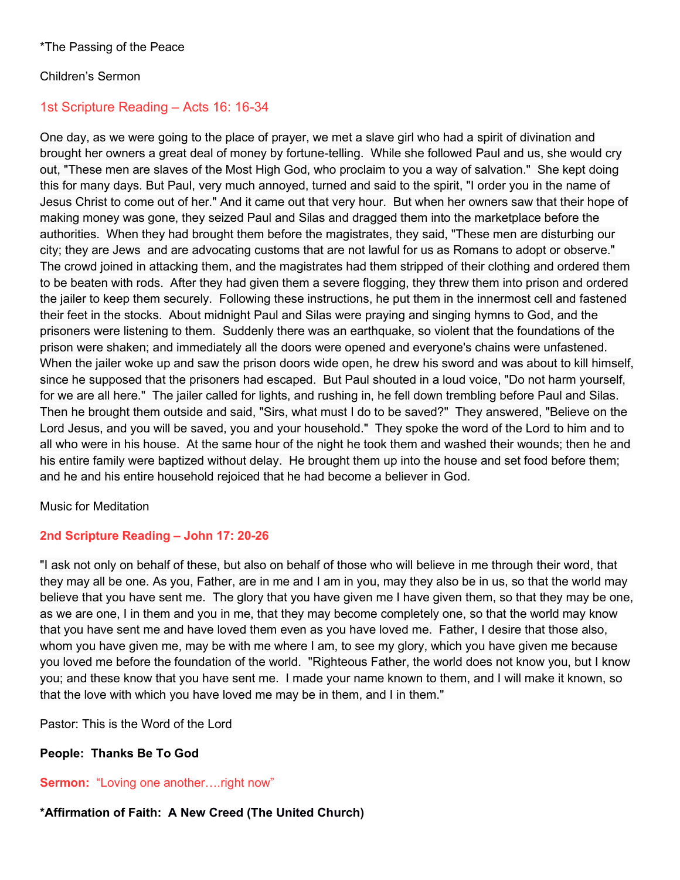#### Children's Sermon

## 1st Scripture Reading – Acts 16: 16-34

One day, as we were going to the place of prayer, we met a slave girl who had a spirit of divination and brought her owners a great deal of money by fortune-telling. While she followed Paul and us, she would cry out, "These men are slaves of the Most High God, who proclaim to you a way of salvation." She kept doing this for many days. But Paul, very much annoyed, turned and said to the spirit, "I order you in the name of Jesus Christ to come out of her." And it came out that very hour. But when her owners saw that their hope of making money was gone, they seized Paul and Silas and dragged them into the marketplace before the authorities. When they had brought them before the magistrates, they said, "These men are disturbing our city; they are Jews and are advocating customs that are not lawful for us as Romans to adopt or observe." The crowd joined in attacking them, and the magistrates had them stripped of their clothing and ordered them to be beaten with rods. After they had given them a severe flogging, they threw them into prison and ordered the jailer to keep them securely. Following these instructions, he put them in the innermost cell and fastened their feet in the stocks. About midnight Paul and Silas were praying and singing hymns to God, and the prisoners were listening to them. Suddenly there was an earthquake, so violent that the foundations of the prison were shaken; and immediately all the doors were opened and everyone's chains were unfastened. When the jailer woke up and saw the prison doors wide open, he drew his sword and was about to kill himself, since he supposed that the prisoners had escaped. But Paul shouted in a loud voice, "Do not harm yourself, for we are all here." The jailer called for lights, and rushing in, he fell down trembling before Paul and Silas. Then he brought them outside and said, "Sirs, what must I do to be saved?" They answered, "Believe on the Lord Jesus, and you will be saved, you and your household." They spoke the word of the Lord to him and to all who were in his house. At the same hour of the night he took them and washed their wounds; then he and his entire family were baptized without delay. He brought them up into the house and set food before them; and he and his entire household rejoiced that he had become a believer in God.

#### Music for Meditation

## **2nd Scripture Reading – John 17: 20-26**

"I ask not only on behalf of these, but also on behalf of those who will believe in me through their word, that they may all be one. As you, Father, are in me and I am in you, may they also be in us, so that the world may believe that you have sent me. The glory that you have given me I have given them, so that they may be one, as we are one, I in them and you in me, that they may become completely one, so that the world may know that you have sent me and have loved them even as you have loved me. Father, I desire that those also, whom you have given me, may be with me where I am, to see my glory, which you have given me because you loved me before the foundation of the world. "Righteous Father, the world does not know you, but I know you; and these know that you have sent me. I made your name known to them, and I will make it known, so that the love with which you have loved me may be in them, and I in them."

Pastor: This is the Word of the Lord

## **People: Thanks Be To God**

**Sermon:** "Loving one another….right now"

## **\*Affirmation of Faith: A New Creed (The United Church)**